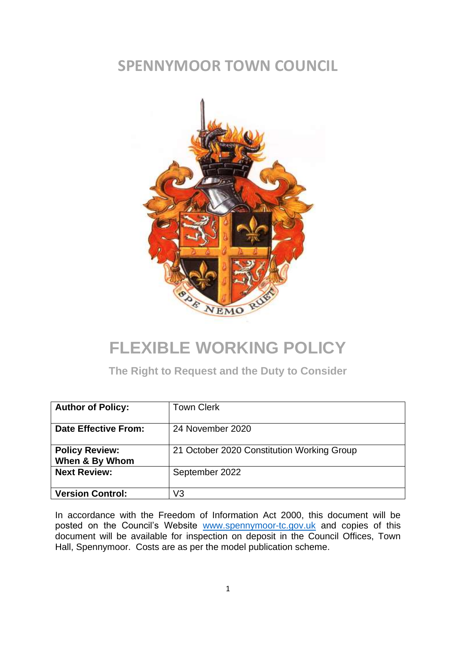### **SPENNYMOOR TOWN COUNCIL**



# **FLEXIBLE WORKING POLICY**

**The Right to Request and the Duty to Consider**

| <b>Author of Policy:</b>                | <b>Town Clerk</b>                          |
|-----------------------------------------|--------------------------------------------|
| <b>Date Effective From:</b>             | 24 November 2020                           |
| <b>Policy Review:</b><br>When & By Whom | 21 October 2020 Constitution Working Group |
| <b>Next Review:</b>                     | September 2022                             |
| <b>Version Control:</b>                 | V3                                         |

In accordance with the Freedom of Information Act 2000, this document will be posted on the Council's Website [www.spennymoor-tc.gov.uk](http://www.spennymoor-tc.gov.uk/) and copies of this document will be available for inspection on deposit in the Council Offices, Town Hall, Spennymoor. Costs are as per the model publication scheme.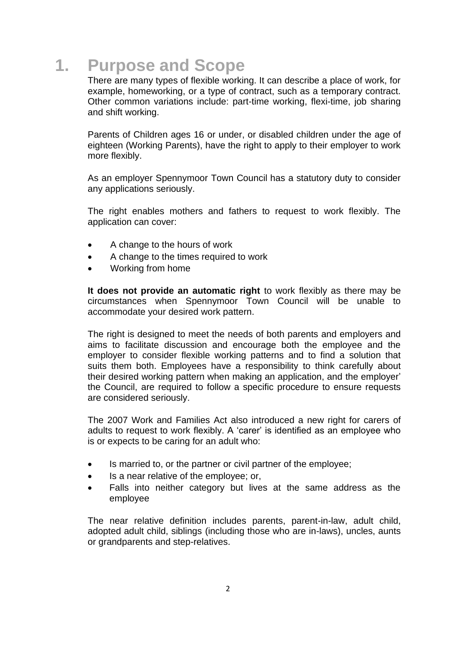## **1. Purpose and Scope**

There are many types of flexible working. It can describe a place of work, for example, homeworking, or a type of contract, such as a temporary contract. Other common variations include: part-time working, flexi-time, job sharing and shift working.

Parents of Children ages 16 or under, or disabled children under the age of eighteen (Working Parents), have the right to apply to their employer to work more flexibly.

As an employer Spennymoor Town Council has a statutory duty to consider any applications seriously.

The right enables mothers and fathers to request to work flexibly. The application can cover:

- A change to the hours of work
- A change to the times required to work
- Working from home

**It does not provide an automatic right** to work flexibly as there may be circumstances when Spennymoor Town Council will be unable to accommodate your desired work pattern.

The right is designed to meet the needs of both parents and employers and aims to facilitate discussion and encourage both the employee and the employer to consider flexible working patterns and to find a solution that suits them both. Employees have a responsibility to think carefully about their desired working pattern when making an application, and the employer' the Council, are required to follow a specific procedure to ensure requests are considered seriously.

The 2007 Work and Families Act also introduced a new right for carers of adults to request to work flexibly. A 'carer' is identified as an employee who is or expects to be caring for an adult who:

- Is married to, or the partner or civil partner of the employee;
- Is a near relative of the employee; or,
- Falls into neither category but lives at the same address as the employee

The near relative definition includes parents, parent-in-law, adult child, adopted adult child, siblings (including those who are in-laws), uncles, aunts or grandparents and step-relatives.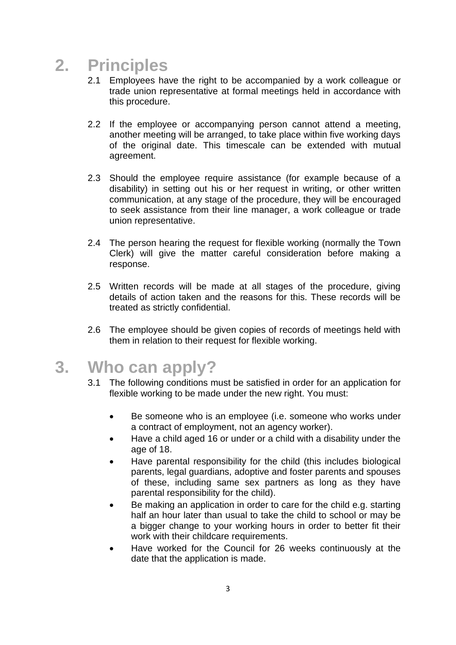## **2. Principles**

- 2.1 Employees have the right to be accompanied by a work colleague or trade union representative at formal meetings held in accordance with this procedure.
- 2.2 If the employee or accompanying person cannot attend a meeting, another meeting will be arranged, to take place within five working days of the original date. This timescale can be extended with mutual agreement.
- 2.3 Should the employee require assistance (for example because of a disability) in setting out his or her request in writing, or other written communication, at any stage of the procedure, they will be encouraged to seek assistance from their line manager, a work colleague or trade union representative.
- 2.4 The person hearing the request for flexible working (normally the Town Clerk) will give the matter careful consideration before making a response.
- 2.5 Written records will be made at all stages of the procedure, giving details of action taken and the reasons for this. These records will be treated as strictly confidential.
- 2.6 The employee should be given copies of records of meetings held with them in relation to their request for flexible working.
- **3. Who can apply?**
	- 3.1 The following conditions must be satisfied in order for an application for flexible working to be made under the new right. You must:
		- Be someone who is an employee (i.e. someone who works under a contract of employment, not an agency worker).
		- Have a child aged 16 or under or a child with a disability under the age of 18.
		- Have parental responsibility for the child (this includes biological parents, legal guardians, adoptive and foster parents and spouses of these, including same sex partners as long as they have parental responsibility for the child).
		- Be making an application in order to care for the child e.g. starting half an hour later than usual to take the child to school or may be a bigger change to your working hours in order to better fit their work with their childcare requirements.
		- Have worked for the Council for 26 weeks continuously at the date that the application is made.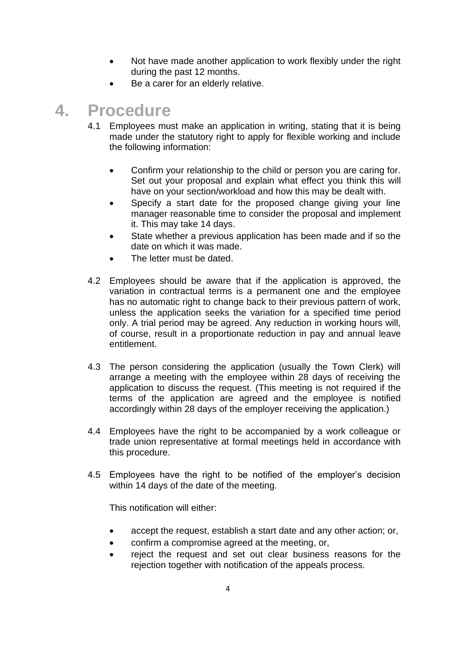- Not have made another application to work flexibly under the right during the past 12 months.
- Be a carer for an elderly relative.

## **4. Procedure**

- 4.1 Employees must make an application in writing, stating that it is being made under the statutory right to apply for flexible working and include the following information:
	- Confirm your relationship to the child or person you are caring for. Set out your proposal and explain what effect you think this will have on your section/workload and how this may be dealt with.
	- Specify a start date for the proposed change giving your line manager reasonable time to consider the proposal and implement it. This may take 14 days.
	- State whether a previous application has been made and if so the date on which it was made.
	- The letter must be dated.
- 4.2 Employees should be aware that if the application is approved, the variation in contractual terms is a permanent one and the employee has no automatic right to change back to their previous pattern of work, unless the application seeks the variation for a specified time period only. A trial period may be agreed. Any reduction in working hours will, of course, result in a proportionate reduction in pay and annual leave entitlement.
- 4.3 The person considering the application (usually the Town Clerk) will arrange a meeting with the employee within 28 days of receiving the application to discuss the request. (This meeting is not required if the terms of the application are agreed and the employee is notified accordingly within 28 days of the employer receiving the application.)
- 4.4 Employees have the right to be accompanied by a work colleague or trade union representative at formal meetings held in accordance with this procedure.
- 4.5 Employees have the right to be notified of the employer's decision within 14 days of the date of the meeting.

This notification will either:

- accept the request, establish a start date and any other action; or,
- confirm a compromise agreed at the meeting, or,
- reject the request and set out clear business reasons for the rejection together with notification of the appeals process.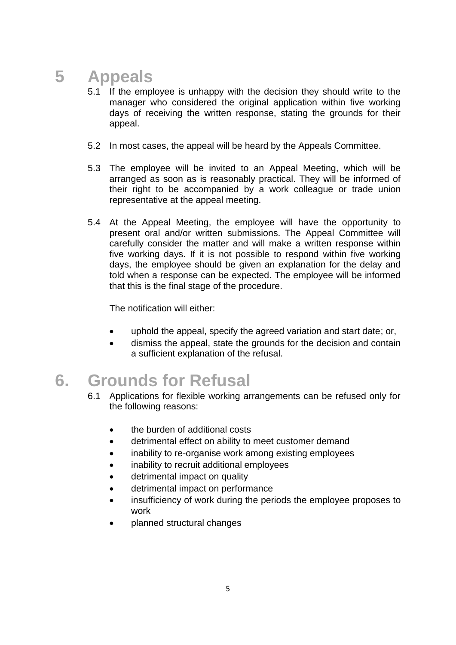# **5 Appeals**

- 5.1 If the employee is unhappy with the decision they should write to the manager who considered the original application within five working days of receiving the written response, stating the grounds for their appeal.
- 5.2 In most cases, the appeal will be heard by the Appeals Committee.
- 5.3 The employee will be invited to an Appeal Meeting, which will be arranged as soon as is reasonably practical. They will be informed of their right to be accompanied by a work colleague or trade union representative at the appeal meeting.
- 5.4 At the Appeal Meeting, the employee will have the opportunity to present oral and/or written submissions. The Appeal Committee will carefully consider the matter and will make a written response within five working days. If it is not possible to respond within five working days, the employee should be given an explanation for the delay and told when a response can be expected. The employee will be informed that this is the final stage of the procedure.

The notification will either:

- uphold the appeal, specify the agreed variation and start date; or,
- dismiss the appeal, state the grounds for the decision and contain a sufficient explanation of the refusal.

## **6. Grounds for Refusal**

- 6.1 Applications for flexible working arrangements can be refused only for the following reasons:
	- the burden of additional costs
	- detrimental effect on ability to meet customer demand
	- inability to re-organise work among existing employees
	- inability to recruit additional employees
	- detrimental impact on quality
	- detrimental impact on performance
	- insufficiency of work during the periods the employee proposes to work
	- planned structural changes